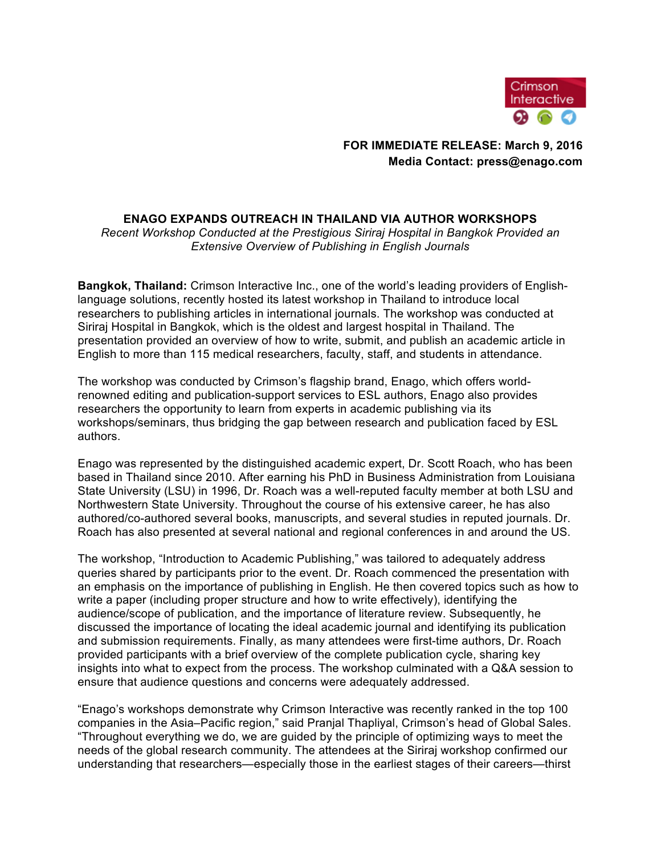

# **FOR IMMEDIATE RELEASE: March 9, 2016 Media Contact: press@enago.com**

# **ENAGO EXPANDS OUTREACH IN THAILAND VIA AUTHOR WORKSHOPS**

*Recent Workshop Conducted at the Prestigious Siriraj Hospital in Bangkok Provided an Extensive Overview of Publishing in English Journals*

**Bangkok, Thailand:** Crimson Interactive Inc., one of the world's leading providers of Englishlanguage solutions, recently hosted its latest workshop in Thailand to introduce local researchers to publishing articles in international journals. The workshop was conducted at Siriraj Hospital in Bangkok, which is the oldest and largest hospital in Thailand. The presentation provided an overview of how to write, submit, and publish an academic article in English to more than 115 medical researchers, faculty, staff, and students in attendance.

The workshop was conducted by Crimson's flagship brand, Enago, which offers worldrenowned editing and publication-support services to ESL authors, Enago also provides researchers the opportunity to learn from experts in academic publishing via its workshops/seminars, thus bridging the gap between research and publication faced by ESL authors.

Enago was represented by the distinguished academic expert, Dr. Scott Roach, who has been based in Thailand since 2010. After earning his PhD in Business Administration from Louisiana State University (LSU) in 1996, Dr. Roach was a well-reputed faculty member at both LSU and Northwestern State University. Throughout the course of his extensive career, he has also authored/co-authored several books, manuscripts, and several studies in reputed journals. Dr. Roach has also presented at several national and regional conferences in and around the US.

The workshop, "Introduction to Academic Publishing," was tailored to adequately address queries shared by participants prior to the event. Dr. Roach commenced the presentation with an emphasis on the importance of publishing in English. He then covered topics such as how to write a paper (including proper structure and how to write effectively), identifying the audience/scope of publication, and the importance of literature review. Subsequently, he discussed the importance of locating the ideal academic journal and identifying its publication and submission requirements. Finally, as many attendees were first-time authors, Dr. Roach provided participants with a brief overview of the complete publication cycle, sharing key insights into what to expect from the process. The workshop culminated with a Q&A session to ensure that audience questions and concerns were adequately addressed.

"Enago's workshops demonstrate why Crimson Interactive was recently ranked in the top 100 companies in the Asia–Pacific region," said Pranjal Thapliyal, Crimson's head of Global Sales. "Throughout everything we do, we are guided by the principle of optimizing ways to meet the needs of the global research community. The attendees at the Siriraj workshop confirmed our understanding that researchers—especially those in the earliest stages of their careers—thirst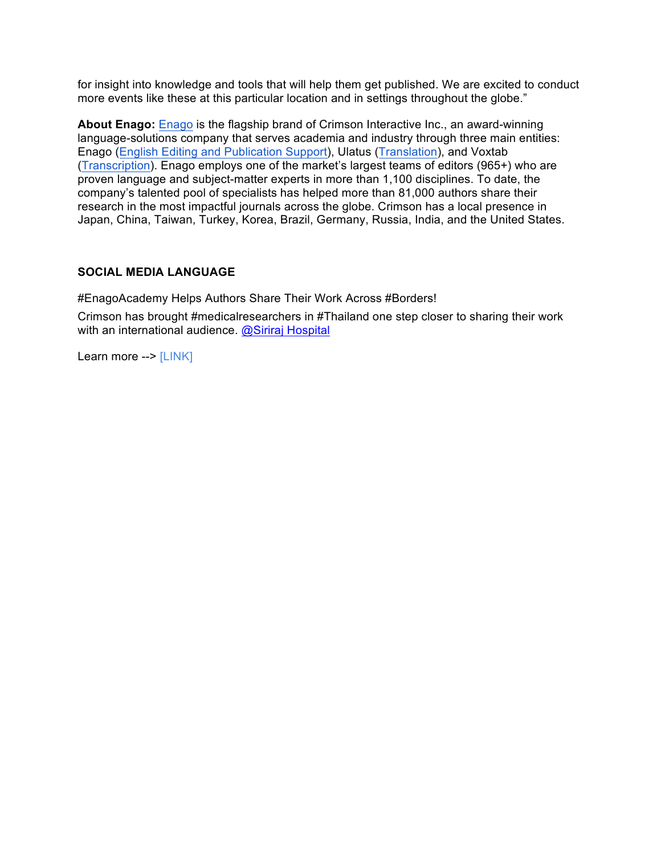for insight into knowledge and tools that will help them get published. We are excited to conduct more events like these at this particular location and in settings throughout the globe."

**About Enago:** Enago is the flagship brand of Crimson Interactive Inc., an award-winning language-solutions company that serves academia and industry through three main entities: Enago (English Editing and Publication Support), Ulatus (Translation), and Voxtab (Transcription). Enago employs one of the market's largest teams of editors (965+) who are proven language and subject-matter experts in more than 1,100 disciplines. To date, the company's talented pool of specialists has helped more than 81,000 authors share their research in the most impactful journals across the globe. Crimson has a local presence in Japan, China, Taiwan, Turkey, Korea, Brazil, Germany, Russia, India, and the United States.

#### **SOCIAL MEDIA LANGUAGE**

#EnagoAcademy Helps Authors Share Their Work Across #Borders! Crimson has brought #medicalresearchers in #Thailand one step closer to sharing their work with an international audience. @Siriraj Hospital

Learn more --> [LINK]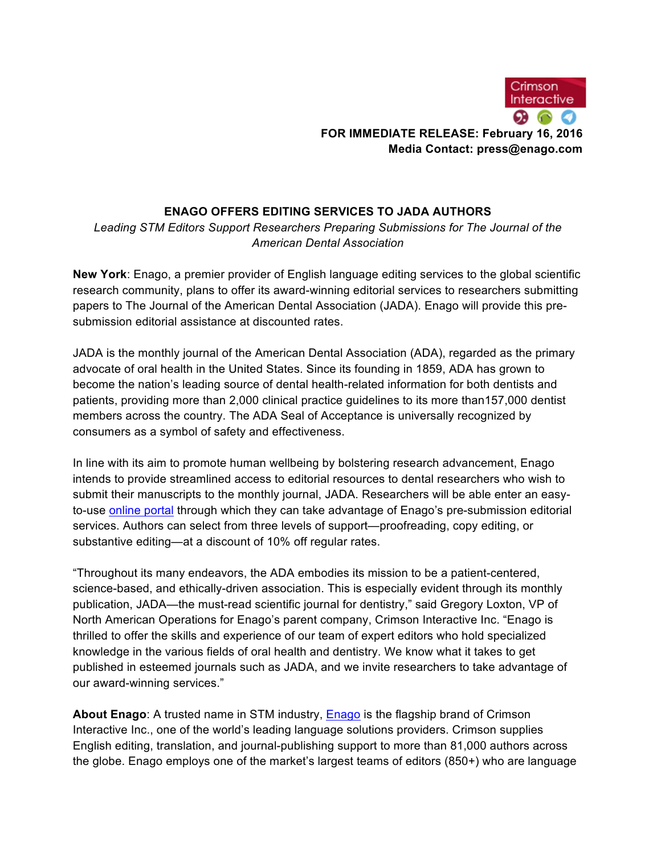

# **ENAGO OFFERS EDITING SERVICES TO JADA AUTHORS**

*Leading STM Editors Support Researchers Preparing Submissions for The Journal of the American Dental Association*

**New York**: Enago, a premier provider of English language editing services to the global scientific research community, plans to offer its award-winning editorial services to researchers submitting papers to The Journal of the American Dental Association (JADA). Enago will provide this presubmission editorial assistance at discounted rates.

JADA is the monthly journal of the American Dental Association (ADA), regarded as the primary advocate of oral health in the United States. Since its founding in 1859, ADA has grown to become the nation's leading source of dental health-related information for both dentists and patients, providing more than 2,000 clinical practice guidelines to its more than157,000 dentist members across the country. The ADA Seal of Acceptance is universally recognized by consumers as a symbol of safety and effectiveness.

In line with its aim to promote human wellbeing by bolstering research advancement, Enago intends to provide streamlined access to editorial resources to dental researchers who wish to submit their manuscripts to the monthly journal, JADA. Researchers will be able enter an easyto-use online portal through which they can take advantage of Enago's pre-submission editorial services. Authors can select from three levels of support—proofreading, copy editing, or substantive editing—at a discount of 10% off regular rates.

"Throughout its many endeavors, the ADA embodies its mission to be a patient-centered, science-based, and ethically-driven association. This is especially evident through its monthly publication, JADA—the must-read scientific journal for dentistry," said Gregory Loxton, VP of North American Operations for Enago's parent company, Crimson Interactive Inc. "Enago is thrilled to offer the skills and experience of our team of expert editors who hold specialized knowledge in the various fields of oral health and dentistry. We know what it takes to get published in esteemed journals such as JADA, and we invite researchers to take advantage of our award-winning services."

**About Enago**: A trusted name in STM industry, Enago is the flagship brand of Crimson Interactive Inc., one of the world's leading language solutions providers. Crimson supplies English editing, translation, and journal-publishing support to more than 81,000 authors across the globe. Enago employs one of the market's largest teams of editors (850+) who are language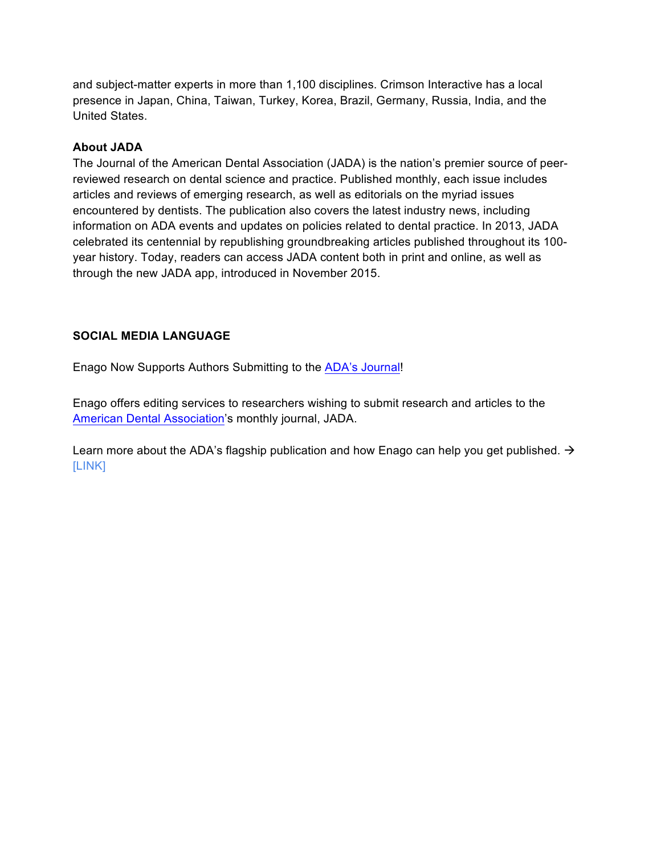and subject-matter experts in more than 1,100 disciplines. Crimson Interactive has a local presence in Japan, China, Taiwan, Turkey, Korea, Brazil, Germany, Russia, India, and the United States.

# **About JADA**

The Journal of the American Dental Association (JADA) is the nation's premier source of peerreviewed research on dental science and practice. Published monthly, each issue includes articles and reviews of emerging research, as well as editorials on the myriad issues encountered by dentists. The publication also covers the latest industry news, including information on ADA events and updates on policies related to dental practice. In 2013, JADA celebrated its centennial by republishing groundbreaking articles published throughout its 100 year history. Today, readers can access JADA content both in print and online, as well as through the new JADA app, introduced in November 2015.

# **SOCIAL MEDIA LANGUAGE**

Enago Now Supports Authors Submitting to the ADA's Journal!

Enago offers editing services to researchers wishing to submit research and articles to the American Dental Association's monthly journal, JADA.

Learn more about the ADA's flagship publication and how Enago can help you get published.  $\rightarrow$ [LINK]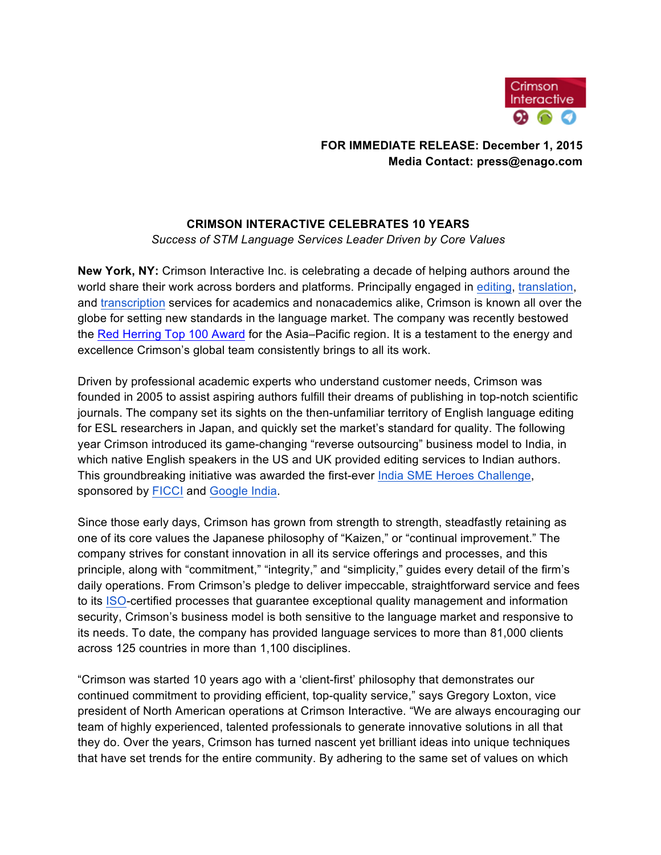

# **FOR IMMEDIATE RELEASE: December 1, 2015 Media Contact: press@enago.com**

# **CRIMSON INTERACTIVE CELEBRATES 10 YEARS**

*Success of STM Language Services Leader Driven by Core Values*

**New York, NY:** Crimson Interactive Inc. is celebrating a decade of helping authors around the world share their work across borders and platforms. Principally engaged in editing, translation, and transcription services for academics and nonacademics alike, Crimson is known all over the globe for setting new standards in the language market. The company was recently bestowed the Red Herring Top 100 Award for the Asia–Pacific region. It is a testament to the energy and excellence Crimson's global team consistently brings to all its work.

Driven by professional academic experts who understand customer needs, Crimson was founded in 2005 to assist aspiring authors fulfill their dreams of publishing in top-notch scientific journals. The company set its sights on the then-unfamiliar territory of English language editing for ESL researchers in Japan, and quickly set the market's standard for quality. The following year Crimson introduced its game-changing "reverse outsourcing" business model to India, in which native English speakers in the US and UK provided editing services to Indian authors. This groundbreaking initiative was awarded the first-ever India SME Heroes Challenge, sponsored by FICCI and Google India.

Since those early days, Crimson has grown from strength to strength, steadfastly retaining as one of its core values the Japanese philosophy of "Kaizen," or "continual improvement." The company strives for constant innovation in all its service offerings and processes, and this principle, along with "commitment," "integrity," and "simplicity," guides every detail of the firm's daily operations. From Crimson's pledge to deliver impeccable, straightforward service and fees to its ISO-certified processes that guarantee exceptional quality management and information security, Crimson's business model is both sensitive to the language market and responsive to its needs. To date, the company has provided language services to more than 81,000 clients across 125 countries in more than 1,100 disciplines.

"Crimson was started 10 years ago with a 'client-first' philosophy that demonstrates our continued commitment to providing efficient, top-quality service," says Gregory Loxton, vice president of North American operations at Crimson Interactive. "We are always encouraging our team of highly experienced, talented professionals to generate innovative solutions in all that they do. Over the years, Crimson has turned nascent yet brilliant ideas into unique techniques that have set trends for the entire community. By adhering to the same set of values on which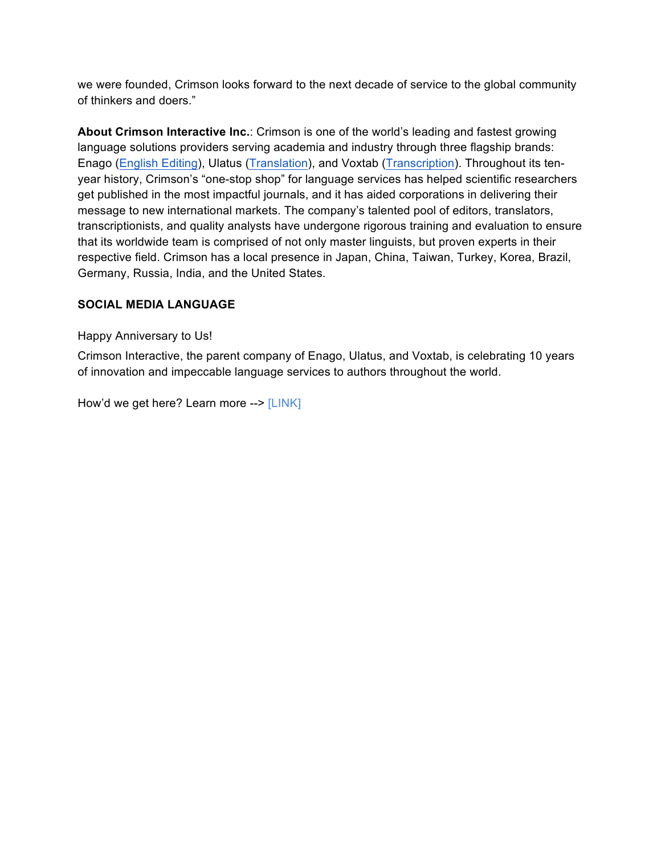we were founded, Crimson looks forward to the next decade of service to the global community of thinkers and doers."

**About Crimson Interactive Inc.**: Crimson is one of the world's leading and fastest growing language solutions providers serving academia and industry through three flagship brands: Enago (English Editing), Ulatus (Translation), and Voxtab (Transcription). Throughout its tenyear history, Crimson's "one-stop shop" for language services has helped scientific researchers get published in the most impactful journals, and it has aided corporations in delivering their message to new international markets. The company's talented pool of editors, translators, transcriptionists, and quality analysts have undergone rigorous training and evaluation to ensure that its worldwide team is comprised of not only master linguists, but proven experts in their respective field. Crimson has a local presence in Japan, China, Taiwan, Turkey, Korea, Brazil, Germany, Russia, India, and the United States.

# **SOCIAL MEDIA LANGUAGE**

Happy Anniversary to Us!

Crimson Interactive, the parent company of Enago, Ulatus, and Voxtab, is celebrating 10 years of innovation and impeccable language services to authors throughout the world.

How'd we get here? Learn more --> [LINK]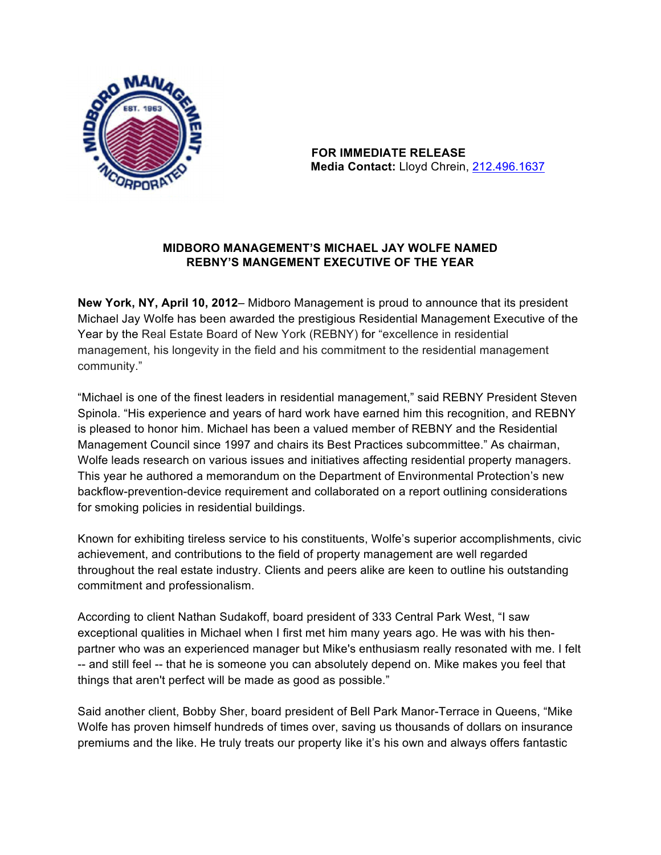

 **FOR IMMEDIATE RELEASE Media Contact:** Lloyd Chrein, 212.496.1637

# **MIDBORO MANAGEMENT'S MICHAEL JAY WOLFE NAMED REBNY'S MANGEMENT EXECUTIVE OF THE YEAR**

**New York, NY, April 10, 2012**– Midboro Management is proud to announce that its president Michael Jay Wolfe has been awarded the prestigious Residential Management Executive of the Year by the Real Estate Board of New York (REBNY) for "excellence in residential management, his longevity in the field and his commitment to the residential management community."

"Michael is one of the finest leaders in residential management," said REBNY President Steven Spinola. "His experience and years of hard work have earned him this recognition, and REBNY is pleased to honor him. Michael has been a valued member of REBNY and the Residential Management Council since 1997 and chairs its Best Practices subcommittee." As chairman, Wolfe leads research on various issues and initiatives affecting residential property managers. This year he authored a memorandum on the Department of Environmental Protection's new backflow-prevention-device requirement and collaborated on a report outlining considerations for smoking policies in residential buildings.

Known for exhibiting tireless service to his constituents, Wolfe's superior accomplishments, civic achievement, and contributions to the field of property management are well regarded throughout the real estate industry. Clients and peers alike are keen to outline his outstanding commitment and professionalism.

According to client Nathan Sudakoff, board president of 333 Central Park West, "I saw exceptional qualities in Michael when I first met him many years ago. He was with his thenpartner who was an experienced manager but Mike's enthusiasm really resonated with me. I felt -- and still feel -- that he is someone you can absolutely depend on. Mike makes you feel that things that aren't perfect will be made as good as possible."

Said another client, Bobby Sher, board president of Bell Park Manor-Terrace in Queens, "Mike Wolfe has proven himself hundreds of times over, saving us thousands of dollars on insurance premiums and the like. He truly treats our property like it's his own and always offers fantastic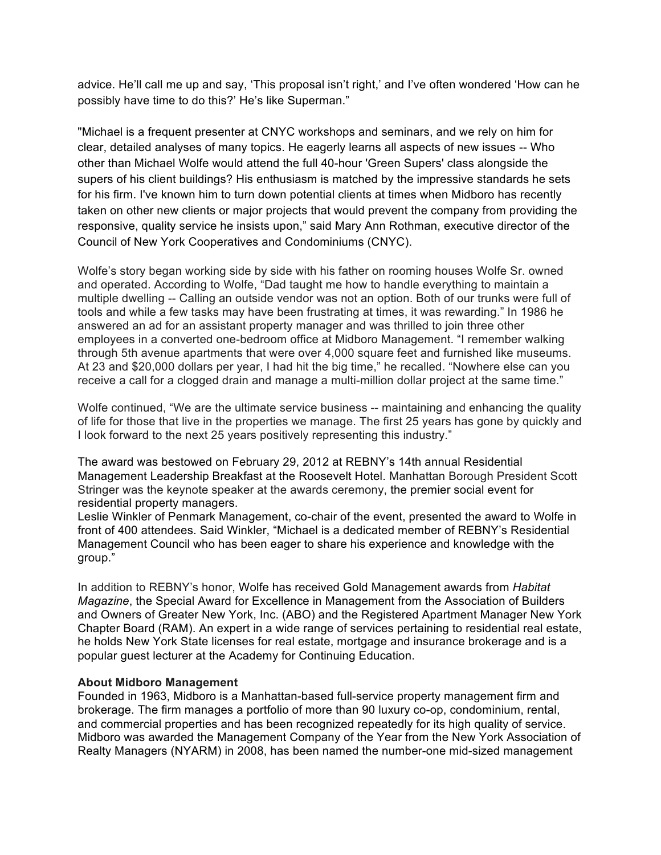advice. He'll call me up and say, 'This proposal isn't right,' and I've often wondered 'How can he possibly have time to do this?' He's like Superman."

"Michael is a frequent presenter at CNYC workshops and seminars, and we rely on him for clear, detailed analyses of many topics. He eagerly learns all aspects of new issues -- Who other than Michael Wolfe would attend the full 40-hour 'Green Supers' class alongside the supers of his client buildings? His enthusiasm is matched by the impressive standards he sets for his firm. I've known him to turn down potential clients at times when Midboro has recently taken on other new clients or major projects that would prevent the company from providing the responsive, quality service he insists upon," said Mary Ann Rothman, executive director of the Council of New York Cooperatives and Condominiums (CNYC).

Wolfe's story began working side by side with his father on rooming houses Wolfe Sr. owned and operated. According to Wolfe, "Dad taught me how to handle everything to maintain a multiple dwelling -- Calling an outside vendor was not an option. Both of our trunks were full of tools and while a few tasks may have been frustrating at times, it was rewarding." In 1986 he answered an ad for an assistant property manager and was thrilled to join three other employees in a converted one-bedroom office at Midboro Management. "I remember walking through 5th avenue apartments that were over 4,000 square feet and furnished like museums. At 23 and \$20,000 dollars per year, I had hit the big time," he recalled. "Nowhere else can you receive a call for a clogged drain and manage a multi-million dollar project at the same time."

Wolfe continued, "We are the ultimate service business -- maintaining and enhancing the quality of life for those that live in the properties we manage. The first 25 years has gone by quickly and I look forward to the next 25 years positively representing this industry."

The award was bestowed on February 29, 2012 at REBNY's 14th annual Residential Management Leadership Breakfast at the Roosevelt Hotel. Manhattan Borough President Scott Stringer was the keynote speaker at the awards ceremony, the premier social event for residential property managers.

Leslie Winkler of Penmark Management, co-chair of the event, presented the award to Wolfe in front of 400 attendees. Said Winkler, "Michael is a dedicated member of REBNY's Residential Management Council who has been eager to share his experience and knowledge with the group."

In addition to REBNY's honor, Wolfe has received Gold Management awards from *Habitat Magazine*, the Special Award for Excellence in Management from the Association of Builders and Owners of Greater New York, Inc. (ABO) and the Registered Apartment Manager New York Chapter Board (RAM). An expert in a wide range of services pertaining to residential real estate, he holds New York State licenses for real estate, mortgage and insurance brokerage and is a popular guest lecturer at the Academy for Continuing Education.

#### **About Midboro Management**

Founded in 1963, Midboro is a Manhattan-based full-service property management firm and brokerage. The firm manages a portfolio of more than 90 luxury co-op, condominium, rental, and commercial properties and has been recognized repeatedly for its high quality of service. Midboro was awarded the Management Company of the Year from the New York Association of Realty Managers (NYARM) in 2008, has been named the number-one mid-sized management